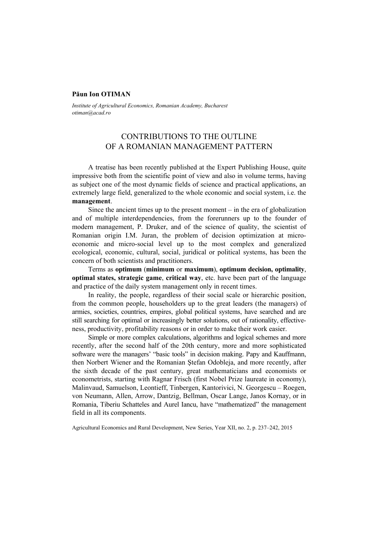## **Păun Ion OTIMAN**

*Institute of Agricultural Economics, Romanian Academy, Bucharest otiman@acad.ro* 

## CONTRIBUTIONS TO THE OUTLINE OF A ROMANIAN MANAGEMENT PATTERN

A treatise has been recently published at the Expert Publishing House, quite impressive both from the scientific point of view and also in volume terms, having as subject one of the most dynamic fields of science and practical applications, an extremely large field, generalized to the whole economic and social system, i.e. the **management**.

Since the ancient times up to the present moment – in the era of globalization and of multiple interdependencies, from the forerunners up to the founder of modern management, P. Druker, and of the science of quality, the scientist of Romanian origin I.M. Juran, the problem of decision optimization at microeconomic and micro-social level up to the most complex and generalized ecological, economic, cultural, social, juridical or political systems, has been the concern of both scientists and practitioners.

Terms as **optimum** (**minimum** or **maximum**), **optimum decision, optimality**, **optimal states, strategic game**, **critical way**, etc. have been part of the language and practice of the daily system management only in recent times.

In reality, the people, regardless of their social scale or hierarchic position, from the common people, householders up to the great leaders (the managers) of armies, societies, countries, empires, global political systems, have searched and are still searching for optimal or increasingly better solutions, out of rationality, effectiveness, productivity, profitability reasons or in order to make their work easier.

Simple or more complex calculations, algorithms and logical schemes and more recently, after the second half of the 20th century, more and more sophisticated software were the managers' "basic tools" in decision making. Papy and Kauffmann, then Norbert Wiener and the Romanian Ştefan Odobleja, and more recently, after the sixth decade of the past century, great mathematicians and economists or econometrists, starting with Ragnar Frisch (first Nobel Prize laureate in economy), Malinvaud, Samuelson, Leontieff, Tinbergen, Kantorivici, N. Georgescu – Roegen, von Neumann, Allen, Arrow, Dantzig, Bellman, Oscar Lange, Janos Kornay, or in Romania, Tiberiu Schatteles and Aurel Iancu, have "mathematized" the management field in all its components.

Agricultural Economics and Rural Development, New Series, Year XII, no. 2, p. 237–242, 2015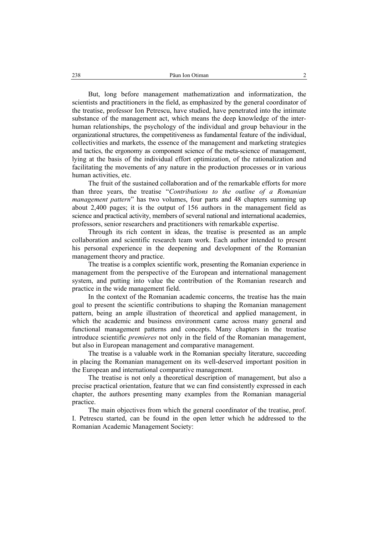But, long before management mathematization and informatization, the scientists and practitioners in the field, as emphasized by the general coordinator of the treatise, professor Ion Petrescu, have studied, have penetrated into the intimate substance of the management act, which means the deep knowledge of the interhuman relationships, the psychology of the individual and group behaviour in the organizational structures, the competitiveness as fundamental feature of the individual, collectivities and markets, the essence of the management and marketing strategies and tactics, the ergonomy as component science of the meta-science of management, lying at the basis of the individual effort optimization, of the rationalization and facilitating the movements of any nature in the production processes or in various human activities, etc.

The fruit of the sustained collaboration and of the remarkable efforts for more than three years, the treatise "*Contributions to the outline of a Romanian management pattern*" has two volumes, four parts and 48 chapters summing up about 2,400 pages; it is the output of 156 authors in the management field as science and practical activity, members of several national and international academies, professors, senior researchers and practitioners with remarkable expertise.

Through its rich content in ideas, the treatise is presented as an ample collaboration and scientific research team work. Each author intended to present his personal experience in the deepening and development of the Romanian management theory and practice.

The treatise is a complex scientific work, presenting the Romanian experience in management from the perspective of the European and international management system, and putting into value the contribution of the Romanian research and practice in the wide management field.

In the context of the Romanian academic concerns, the treatise has the main goal to present the scientific contributions to shaping the Romanian management pattern, being an ample illustration of theoretical and applied management, in which the academic and business environment came across many general and functional management patterns and concepts. Many chapters in the treatise introduce scientific *premieres* not only in the field of the Romanian management, but also in European management and comparative management.

The treatise is a valuable work in the Romanian specialty literature, succeeding in placing the Romanian management on its well-deserved important position in the European and international comparative management.

The treatise is not only a theoretical description of management, but also a precise practical orientation, feature that we can find consistently expressed in each chapter, the authors presenting many examples from the Romanian managerial practice.

The main objectives from which the general coordinator of the treatise, prof. I. Petrescu started, can be found in the open letter which he addressed to the Romanian Academic Management Society: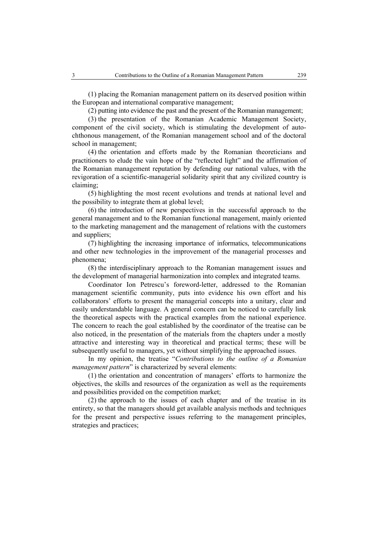(1) placing the Romanian management pattern on its deserved position within the European and international comparative management;

(2) putting into evidence the past and the present of the Romanian management;

(3) the presentation of the Romanian Academic Management Society, component of the civil society, which is stimulating the development of autochthonous management, of the Romanian management school and of the doctoral school in management;

(4) the orientation and efforts made by the Romanian theoreticians and practitioners to elude the vain hope of the "reflected light" and the affirmation of the Romanian management reputation by defending our national values, with the revigoration of a scientific-managerial solidarity spirit that any civilized country is claiming;

(5) highlighting the most recent evolutions and trends at national level and the possibility to integrate them at global level;

(6) the introduction of new perspectives in the successful approach to the general management and to the Romanian functional management, mainly oriented to the marketing management and the management of relations with the customers and suppliers;

(7) highlighting the increasing importance of informatics, telecommunications and other new technologies in the improvement of the managerial processes and phenomena;

(8) the interdisciplinary approach to the Romanian management issues and the development of managerial harmonization into complex and integrated teams.

Coordinator Ion Petrescu's foreword-letter, addressed to the Romanian management scientific community, puts into evidence his own effort and his collaborators' efforts to present the managerial concepts into a unitary, clear and easily understandable language. A general concern can be noticed to carefully link the theoretical aspects with the practical examples from the national experience. The concern to reach the goal established by the coordinator of the treatise can be also noticed, in the presentation of the materials from the chapters under a mostly attractive and interesting way in theoretical and practical terms; these will be subsequently useful to managers, yet without simplifying the approached issues.

In my opinion, the treatise "*Contributions to the outline of a Romanian management pattern*" is characterized by several elements:

(1) the orientation and concentration of managers' efforts to harmonize the objectives, the skills and resources of the organization as well as the requirements and possibilities provided on the competition market;

(2) the approach to the issues of each chapter and of the treatise in its entirety, so that the managers should get available analysis methods and techniques for the present and perspective issues referring to the management principles, strategies and practices;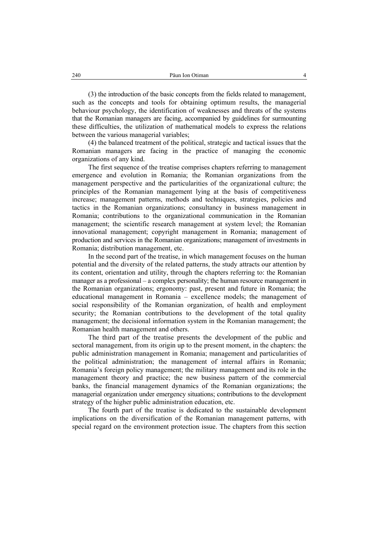(3) the introduction of the basic concepts from the fields related to management, such as the concepts and tools for obtaining optimum results, the managerial behaviour psychology, the identification of weaknesses and threats of the systems that the Romanian managers are facing, accompanied by guidelines for surmounting these difficulties, the utilization of mathematical models to express the relations between the various managerial variables;

(4) the balanced treatment of the political, strategic and tactical issues that the Romanian managers are facing in the practice of managing the economic organizations of any kind.

The first sequence of the treatise comprises chapters referring to management emergence and evolution in Romania; the Romanian organizations from the management perspective and the particularities of the organizational culture; the principles of the Romanian management lying at the basis of competitiveness increase; management patterns, methods and techniques, strategies, policies and tactics in the Romanian organizations; consultancy in business management in Romania; contributions to the organizational communication in the Romanian management; the scientific research management at system level; the Romanian innovational management; copyright management in Romania; management of production and services in the Romanian organizations; management of investments in Romania; distribution management, etc.

In the second part of the treatise, in which management focuses on the human potential and the diversity of the related patterns, the study attracts our attention by its content, orientation and utility, through the chapters referring to: the Romanian manager as a professional – a complex personality; the human resource management in the Romanian organizations; ergonomy: past, present and future in Romania; the educational management in Romania – excellence models; the management of social responsibility of the Romanian organization, of health and employment security; the Romanian contributions to the development of the total quality management; the decisional information system in the Romanian management; the Romanian health management and others.

The third part of the treatise presents the development of the public and sectoral management, from its origin up to the present moment, in the chapters: the public administration management in Romania; management and particularities of the political administration; the management of internal affairs in Romania; Romania's foreign policy management; the military management and its role in the management theory and practice; the new business pattern of the commercial banks, the financial management dynamics of the Romanian organizations; the managerial organization under emergency situations; contributions to the development strategy of the higher public administration education, etc.

The fourth part of the treatise is dedicated to the sustainable development implications on the diversification of the Romanian management patterns, with special regard on the environment protection issue. The chapters from this section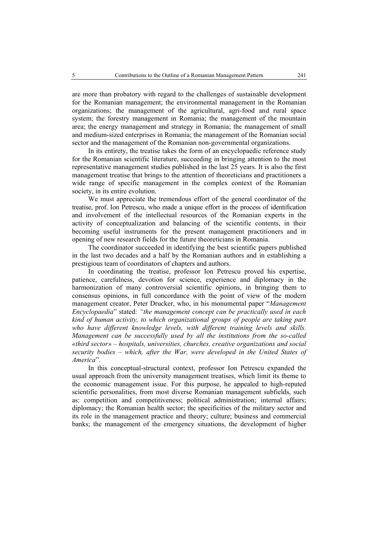are more than probatory with regard to the challenges of sustainable development for the Romanian management; the environmental management in the Romanian organizations; the management of the agricultural, agri-food and rural space system; the forestry management in Romania; the management of the mountain area; the energy management and strategy in Romania; the management of small and medium-sized enterprises in Romania; the management of the Romanian social sector and the management of the Romanian non-governmental organizations.

In its entirety, the treatise takes the form of an encyclopaedic reference study for the Romanian scientific literature, succeeding in bringing attention to the most representative management studies published in the last 25 years. It is also the first management treatise that brings to the attention of theoreticians and practitioners a wide range of specific management in the complex context of the Romanian society, in its entire evolution.

We must appreciate the tremendous effort of the general coordinator of the treatise, prof. Ion Petrescu, who made a unique effort in the process of identification and involvement of the intellectual resources of the Romanian experts in the activity of conceptualization and balancing of the scientific contents, in their becoming useful instruments for the present management practitioners and in opening of new research fields for the future theoreticians in Romania.

The coordinator succeeded in identifying the best scientific papers published in the last two decades and a half by the Romanian authors and in establishing a prestigious team of coordinators of chapters and authors.

In coordinating the treatise, professor Ion Petrescu proved his expertise, patience, carefulness, devotion for science, experience and diplomacy in the harmonization of many controversial scientific opinions, in bringing them to consensus opinions, in full concordance with the point of view of the modern management creator, Peter Drucker, who, in his monumental paper "*Management Encyclopaedia*" stated: *"the management concept can be practically used in each kind of human activity, to which organizational groups of people are taking part*  who have different knowledge levels, with different training levels and skills. *Management can be successfully used by all the institutions from the so-called «third sector» – hospitals, universities, churches, creative organizations and social security bodies – which, after the War, were developed in the United States of America*".

In this conceptual-structural context, professor Ion Petrescu expanded the usual approach from the university management treatises, which limit its theme to the economic management issue. For this purpose, he appealed to high-reputed scientific personalities, from most diverse Romanian management subfields, such as: competition and competitiveness; political administration; internal affairs; diplomacy; the Romanian health sector; the specificities of the military sector and its role in the management practice and theory; culture; business and commercial banks; the management of the emergency situations, the development of higher